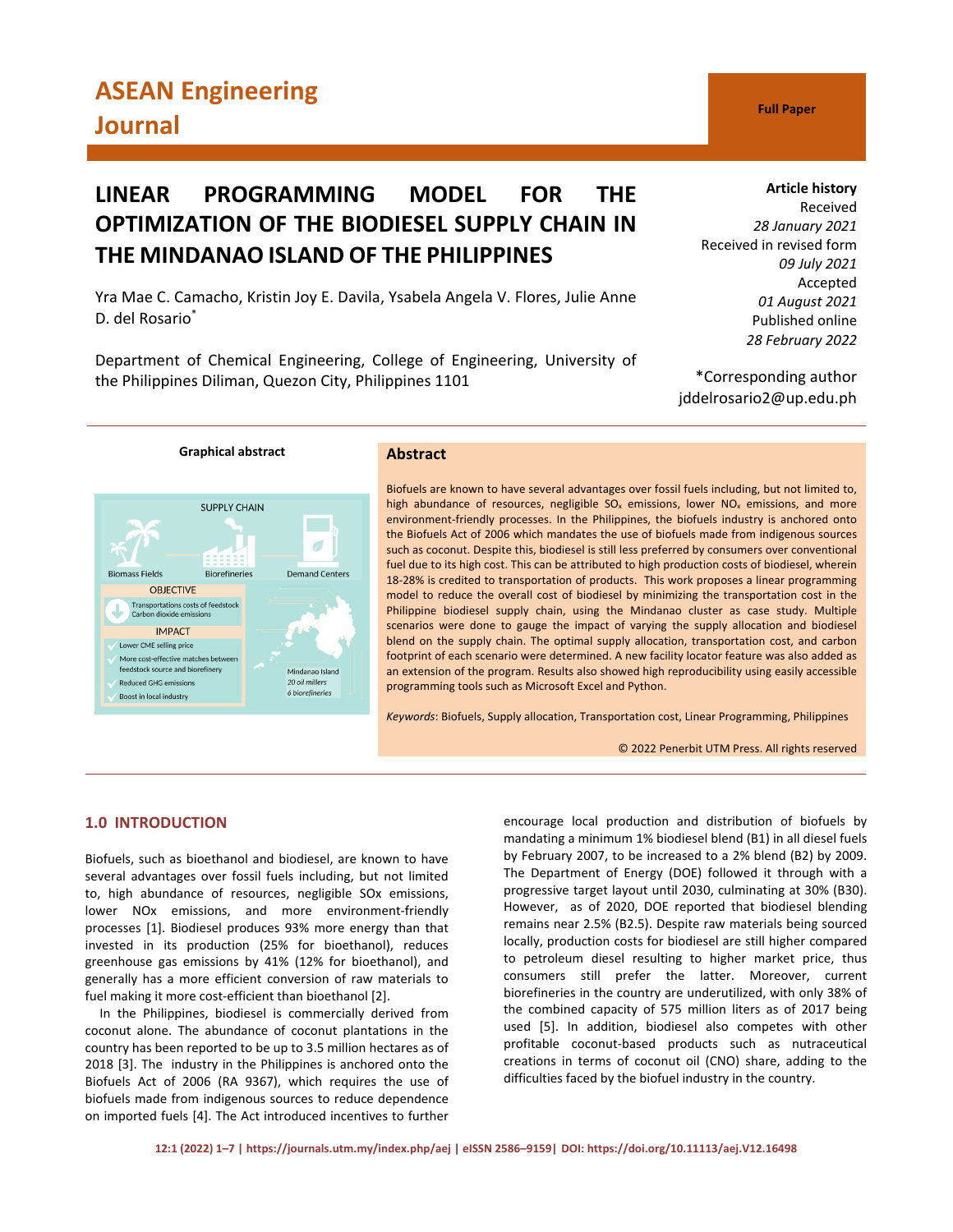# **ASEAN Engineering Journal Full Paper**

# **LINEAR PROGRAMMING MODEL FOR THE OPTIMIZATION OF THE BIODIESEL SUPPLY CHAIN IN THE MINDANAO ISLAND OF THE PHILIPPINES**

Yra Mae C. Camacho, Kristin Joy E. Davila, Ysabela Angela V. Flores, Julie Anne D. del Rosario\*

Department of Chemical Engineering, College of Engineering, University of the Philippines Diliman, Quezon City, Philippines 1101

**Article history**

Received *28 January 2021* Received in revised form *09 July 2021* Accepted *01 August 2021* Published online *28 February 2022*

\*Corresponding author jddelrosario2@up.edu.ph



# **Graphical abstract Abstract**

Biofuels are known to have several advantages over fossil fuels including, but not limited to, high abundance of resources, negligible  $SO<sub>x</sub>$  emissions, lower NO<sub>x</sub> emissions, and more environment-friendly processes. In the Philippines, the biofuels industry is anchored onto the Biofuels Act of 2006 which mandates the use of biofuels made from indigenous sources such as coconut. Despite this, biodiesel is still less preferred by consumers over conventional fuel due to its high cost. This can be attributed to high production costs of biodiesel, wherein 18-28% is credited to transportation of products. This work proposes a linear programming model to reduce the overall cost of biodiesel by minimizing the transportation cost in the Philippine biodiesel supply chain, using the Mindanao cluster as case study. Multiple scenarios were done to gauge the impact of varying the supply allocation and biodiesel blend on the supply chain. The optimal supply allocation, transportation cost, and carbon footprint of each scenario were determined. A new facility locator feature was also added as an extension of the program. Results also showed high reproducibility using easily accessible programming tools such as Microsoft Excel and Python.

*Keywords*: Biofuels, Supply allocation, Transportation cost, Linear Programming, Philippines

© 2022 Penerbit UTM Press. All rights reserved

# **1.0 INTRODUCTION**

Biofuels, such as bioethanol and biodiesel, are known to have several advantages over fossil fuels including, but not limited to, high abundance of resources, negligible SOx emissions, lower NOx emissions, and more environment-friendly processes [1]. Biodiesel produces 93% more energy than that invested in its production (25% for bioethanol), reduces greenhouse gas emissions by 41% (12% for bioethanol), and generally has a more efficient conversion of raw materials to fuel making it more cost-efficient than bioethanol [2].

In the Philippines, biodiesel is commercially derived from coconut alone. The abundance of coconut plantations in the country has been reported to be up to 3.5 million hectares as of 2018 [3]. The industry in the Philippines is anchored onto the Biofuels Act of 2006 (RA 9367), which requires the use of biofuels made from indigenous sources to reduce dependence on imported fuels [4]. The Act introduced incentives to further

encourage local production and distribution of biofuels by mandating a minimum 1% biodiesel blend (B1) in all diesel fuels by February 2007, to be increased to a 2% blend (B2) by 2009. The Department of Energy (DOE) followed it through with a progressive target layout until 2030, culminating at 30% (B30). However, as of 2020, DOE reported that biodiesel blending remains near 2.5% (B2.5). Despite raw materials being sourced locally, production costs for biodiesel are still higher compared to petroleum diesel resulting to higher market price, thus consumers still prefer the latter. Moreover, current biorefineries in the country are underutilized, with only 38% of the combined capacity of 575 million liters as of 2017 being used [5]. In addition, biodiesel also competes with other profitable coconut-based products such as nutraceutical creations in terms of coconut oil (CNO) share, adding to the difficulties faced by the biofuel industry in the country.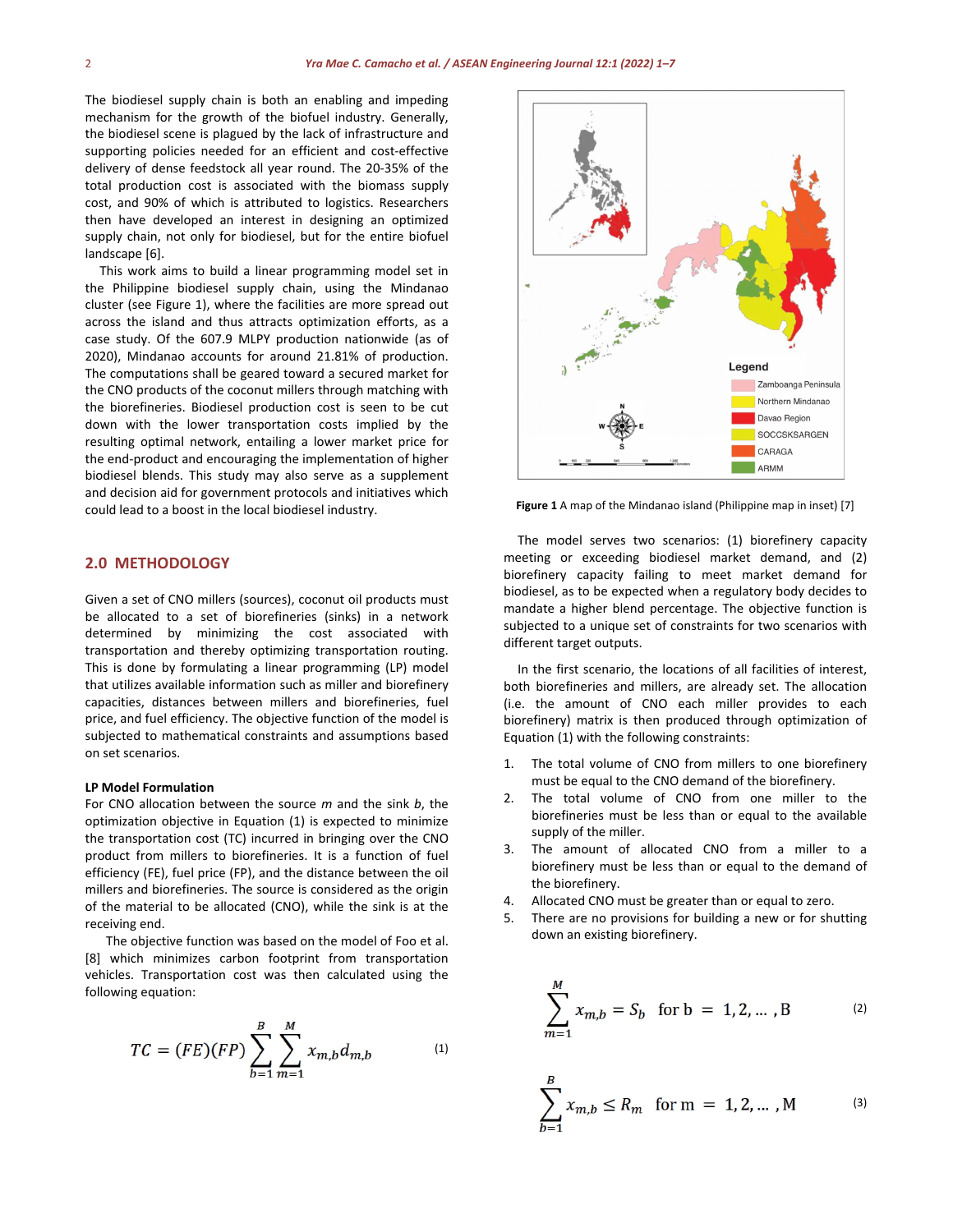The biodiesel supply chain is both an enabling and impeding mechanism for the growth of the biofuel industry. Generally, the biodiesel scene is plagued by the lack of infrastructure and supporting policies needed for an efficient and cost-effective delivery of dense feedstock all year round. The 20-35% of the total production cost is associated with the biomass supply cost, and 90% of which is attributed to logistics. Researchers then have developed an interest in designing an optimized supply chain, not only for biodiesel, but for the entire biofuel landscape [6].

This work aims to build a linear programming model set in the Philippine biodiesel supply chain, using the Mindanao cluster (see Figure 1), where the facilities are more spread out across the island and thus attracts optimization efforts, as a case study. Of the 607.9 MLPY production nationwide (as of 2020), Mindanao accounts for around 21.81% of production. The computations shall be geared toward a secured market for the CNO products of the coconut millers through matching with the biorefineries. Biodiesel production cost is seen to be cut down with the lower transportation costs implied by the resulting optimal network, entailing a lower market price for the end-product and encouraging the implementation of higher biodiesel blends. This study may also serve as a supplement and decision aid for government protocols and initiatives which could lead to a boost in the local biodiesel industry.

# **2.0 METHODOLOGY**

Given a set of CNO millers (sources), coconut oil products must be allocated to a set of biorefineries (sinks) in a network determined by minimizing the cost associated with transportation and thereby optimizing transportation routing. This is done by formulating a linear programming (LP) model that utilizes available information such as miller and biorefinery capacities, distances between millers and biorefineries, fuel price, and fuel efficiency. The objective function of the model is subjected to mathematical constraints and assumptions based on set scenarios.

#### **LP Model Formulation**

For CNO allocation between the source *m* and the sink *b*, the optimization objective in Equation (1) is expected to minimize the transportation cost (TC) incurred in bringing over the CNO product from millers to biorefineries. It is a function of fuel efficiency (FE), fuel price (FP), and the distance between the oil millers and biorefineries. The source is considered as the origin of the material to be allocated (CNO), while the sink is at the receiving end.

The objective function was based on the model of Foo et al. [8] which minimizes carbon footprint from transportation vehicles. Transportation cost was then calculated using the following equation:

$$
TC = (FE)(FP) \sum_{b=1}^{B} \sum_{m=1}^{M} x_{m,b} d_{m,b}
$$
 (1)



**Figure 1** A map of the Mindanao island (Philippine map in inset) [7]

The model serves two scenarios: (1) biorefinery capacity meeting or exceeding biodiesel market demand, and (2) biorefinery capacity failing to meet market demand for biodiesel, as to be expected when a regulatory body decides to mandate a higher blend percentage. The objective function is subjected to a unique set of constraints for two scenarios with different target outputs.

In the first scenario, the locations of all facilities of interest, both biorefineries and millers, are already set. The allocation (i.e. the amount of CNO each miller provides to each biorefinery) matrix is then produced through optimization of Equation (1) with the following constraints:

- 1. The total volume of CNO from millers to one biorefinery must be equal to the CNO demand of the biorefinery.
- 2. The total volume of CNO from one miller to the biorefineries must be less than or equal to the available supply of the miller.
- 3. The amount of allocated CNO from a miller to a biorefinery must be less than or equal to the demand of the biorefinery.
- 4. Allocated CNO must be greater than or equal to zero.
- 5. There are no provisions for building a new or for shutting down an existing biorefinery.

$$
\sum_{m=1}^{M} x_{m,b} = S_b \text{ for b } = 1, 2, \dots, B
$$
 (2)

$$
\sum_{b=1}^{B} x_{m,b} \le R_m \text{ for } m = 1, 2, \dots, M \tag{3}
$$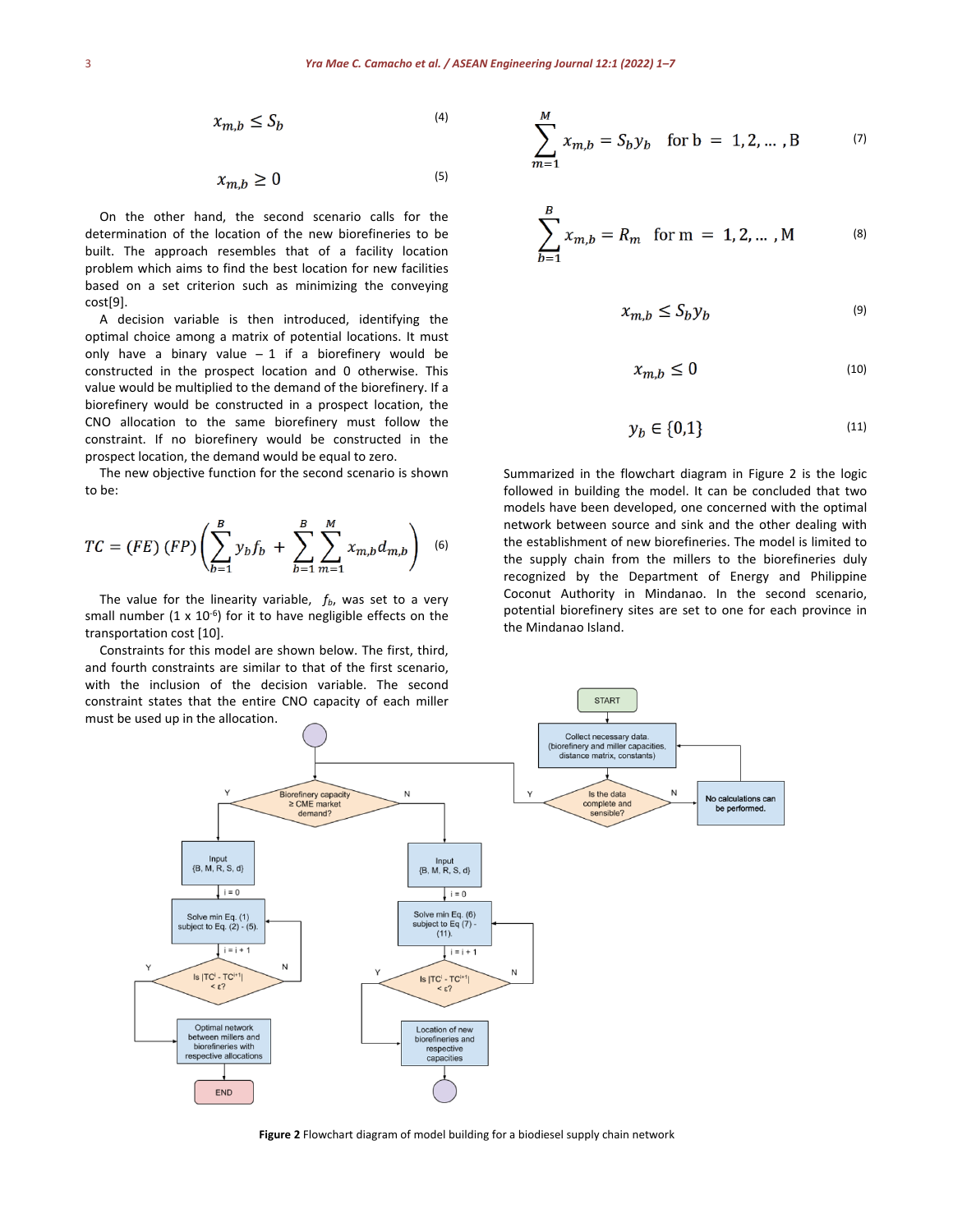$$
x_{m,b} \le S_b \tag{4}
$$

$$
x_{m,b} \ge 0 \tag{5}
$$

On the other hand, the second scenario calls for the determination of the location of the new biorefineries to be built. The approach resembles that of a facility location problem which aims to find the best location for new facilities based on a set criterion such as minimizing the conveying cost[9].

A decision variable is then introduced, identifying the optimal choice among a matrix of potential locations. It must only have a binary value  $-1$  if a biorefinery would be constructed in the prospect location and 0 otherwise. This value would be multiplied to the demand of the biorefinery. If a biorefinery would be constructed in a prospect location, the CNO allocation to the same biorefinery must follow the constraint. If no biorefinery would be constructed in the prospect location, the demand would be equal to zero.

The new objective function for the second scenario is shown to be:

$$
TC = (FE) (FP) \left( \sum_{b=1}^{B} y_b f_b + \sum_{b=1}^{B} \sum_{m=1}^{M} x_{m,b} d_{m,b} \right) \quad (6)
$$

The value for the linearity variable,  $f_b$ , was set to a very small number  $(1 \times 10^{-6})$  for it to have negligible effects on the transportation cost [10].

Constraints for this model are shown below. The first, third, and fourth constraints are similar to that of the first scenario, with the inclusion of the decision variable. The second constraint states that the entire CNO capacity of each miller must be used up in the allocation.

$$
\sum_{m=1}^{M} x_{m,b} = S_b y_b \text{ for b = 1, 2, ... , B}
$$
 (7)

$$
\sum_{b=1}^{B} x_{m,b} = R_m \text{ for } m = 1, 2, \dots, M
$$
 (8)

$$
x_{m,b} \le S_b y_b \tag{9}
$$

$$
x_{m,b} \le 0 \tag{10}
$$

$$
y_b \in \{0, 1\} \tag{11}
$$

Summarized in the flowchart diagram in Figure 2 is the logic followed in building the model. It can be concluded that two models have been developed, one concerned with the optimal network between source and sink and the other dealing with the establishment of new biorefineries. The model is limited to the supply chain from the millers to the biorefineries duly recognized by the Department of Energy and Philippine Coconut Authority in Mindanao. In the second scenario, potential biorefinery sites are set to one for each province in the Mindanao Island.



**Figure 2** Flowchart diagram of model building for a biodiesel supply chain network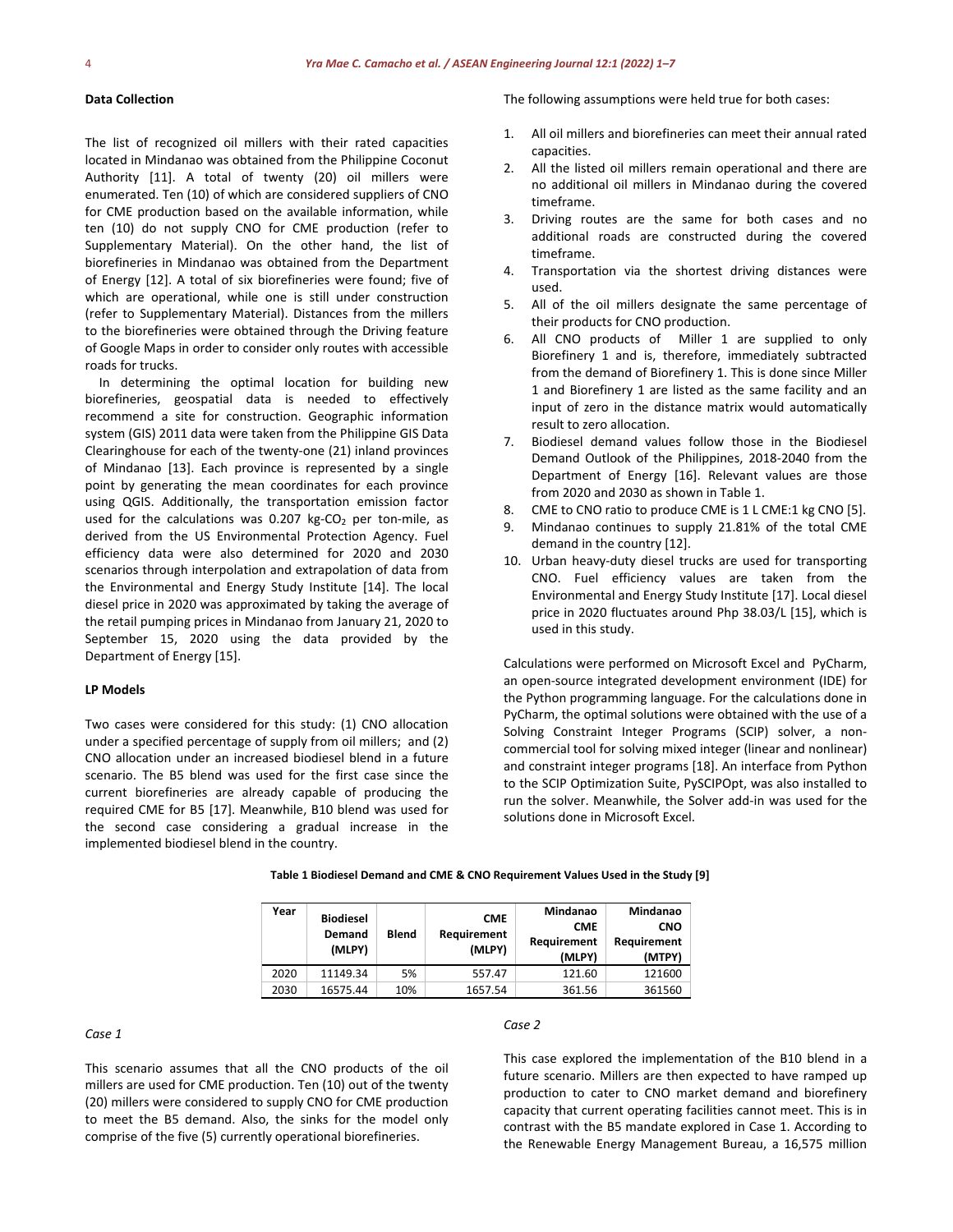#### **Data Collection**

The list of recognized oil millers with their rated capacities located in Mindanao was obtained from the Philippine Coconut Authority [11]. A total of twenty (20) oil millers were enumerated. Ten (10) of which are considered suppliers of CNO for CME production based on the available information, while ten (10) do not supply CNO for CME production (refer to Supplementary Material). On the other hand, the list of biorefineries in Mindanao was obtained from the Department of Energy [12]. A total of six biorefineries were found; five of which are operational, while one is still under construction (refer to Supplementary Material). Distances from the millers to the biorefineries were obtained through the Driving feature of Google Maps in order to consider only routes with accessible roads for trucks.

In determining the optimal location for building new biorefineries, geospatial data is needed to effectively recommend a site for construction. Geographic information system (GIS) 2011 data were taken from the Philippine GIS Data Clearinghouse for each of the twenty-one (21) inland provinces of Mindanao [13]. Each province is represented by a single point by generating the mean coordinates for each province using QGIS. Additionally, the transportation emission factor used for the calculations was  $0.207$  kg-CO<sub>2</sub> per ton-mile, as derived from the US Environmental Protection Agency. Fuel efficiency data were also determined for 2020 and 2030 scenarios through interpolation and extrapolation of data from the Environmental and Energy Study Institute [14]. The local diesel price in 2020 was approximated by taking the average of the retail pumping prices in Mindanao from January 21, 2020 to September 15, 2020 using the data provided by the Department of Energy [15].

#### **LP Models**

Two cases were considered for this study: (1) CNO allocation under a specified percentage of supply from oil millers; and (2) CNO allocation under an increased biodiesel blend in a future scenario. The B5 blend was used for the first case since the current biorefineries are already capable of producing the required CME for B5 [17]. Meanwhile, B10 blend was used for the second case considering a gradual increase in the implemented biodiesel blend in the country.

The following assumptions were held true for both cases:

- 1. All oil millers and biorefineries can meet their annual rated capacities.
- All the listed oil millers remain operational and there are no additional oil millers in Mindanao during the covered timeframe.
- 3. Driving routes are the same for both cases and no additional roads are constructed during the covered timeframe.
- 4. Transportation via the shortest driving distances were used.
- 5. All of the oil millers designate the same percentage of their products for CNO production.
- 6. All CNO products of Miller 1 are supplied to only Biorefinery 1 and is, therefore, immediately subtracted from the demand of Biorefinery 1. This is done since Miller 1 and Biorefinery 1 are listed as the same facility and an input of zero in the distance matrix would automatically result to zero allocation.
- 7. Biodiesel demand values follow those in the Biodiesel Demand Outlook of the Philippines, 2018-2040 from the Department of Energy [16]. Relevant values are those from 2020 and 2030 as shown in Table 1.
- 8. CME to CNO ratio to produce CME is 1 L CME:1 kg CNO [5].
- 9. Mindanao continues to supply 21.81% of the total CME demand in the country [12].
- 10. Urban heavy-duty diesel trucks are used for transporting CNO. Fuel efficiency values are taken from the Environmental and Energy Study Institute [17]. Local diesel price in 2020 fluctuates around Php 38.03/L [15], which is used in this study.

Calculations were performed on Microsoft Excel and PyCharm, an open-source integrated development environment (IDE) for the Python programming language. For the calculations done in PyCharm, the optimal solutions were obtained with the use of a Solving Constraint Integer Programs (SCIP) solver, a noncommercial tool for solving mixed integer (linear and nonlinear) and constraint integer programs [18]. An interface from Python to the SCIP Optimization Suite, PySCIPOpt, was also installed to run the solver. Meanwhile, the Solver add-in was used for the solutions done in Microsoft Excel.

| Year | <b>Biodiesel</b><br>Demand<br>(MLPY) | <b>Blend</b> | <b>CME</b><br>Requirement<br>(MLPY) | Mindanao<br><b>CME</b><br>Requirement<br>(MLPY) | Mindanao<br><b>CNO</b><br>Requirement<br>(MTPY) |
|------|--------------------------------------|--------------|-------------------------------------|-------------------------------------------------|-------------------------------------------------|
| 2020 | 11149.34                             | 5%           | 557.47                              | 121.60                                          | 121600                                          |
| 2030 | 16575.44                             | 10%          | 1657.54                             | 361.56                                          | 361560                                          |

**Table 1 Biodiesel Demand and CME & CNO Requirement Values Used in the Study [9]**

#### *Case 1*

This scenario assumes that all the CNO products of the oil millers are used for CME production. Ten (10) out of the twenty (20) millers were considered to supply CNO for CME production to meet the B5 demand. Also, the sinks for the model only comprise of the five (5) currently operational biorefineries.

#### *Case 2*

This case explored the implementation of the B10 blend in a future scenario. Millers are then expected to have ramped up production to cater to CNO market demand and biorefinery capacity that current operating facilities cannot meet. This is in contrast with the B5 mandate explored in Case 1. According to the Renewable Energy Management Bureau, a 16,575 million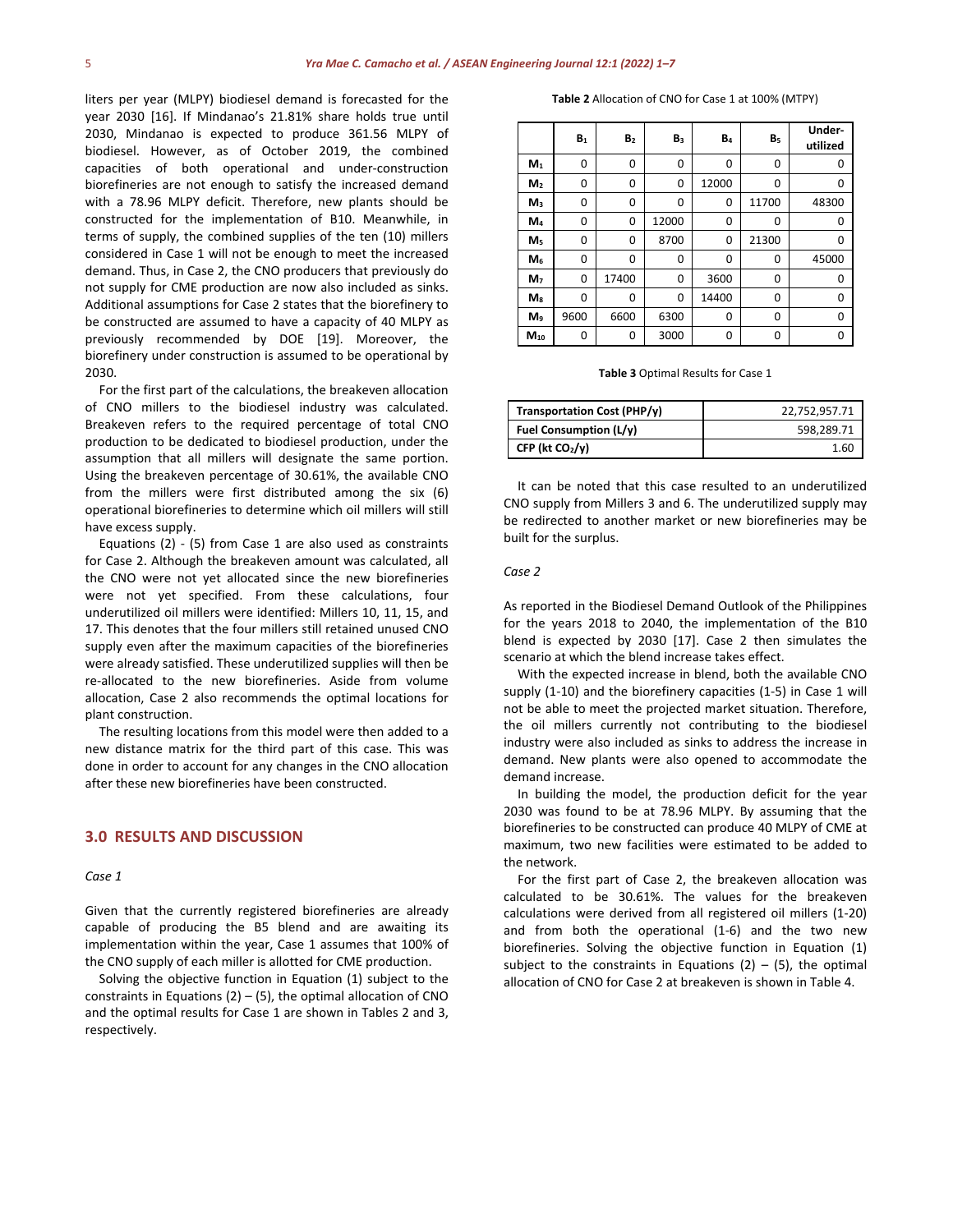liters per year (MLPY) biodiesel demand is forecasted for the year 2030 [16]. If Mindanao's 21.81% share holds true until 2030, Mindanao is expected to produce 361.56 MLPY of biodiesel. However, as of October 2019, the combined capacities of both operational and under-construction biorefineries are not enough to satisfy the increased demand with a 78.96 MLPY deficit. Therefore, new plants should be constructed for the implementation of B10. Meanwhile, in terms of supply, the combined supplies of the ten (10) millers considered in Case 1 will not be enough to meet the increased demand. Thus, in Case 2, the CNO producers that previously do not supply for CME production are now also included as sinks. Additional assumptions for Case 2 states that the biorefinery to be constructed are assumed to have a capacity of 40 MLPY as previously recommended by DOE [19]. Moreover, the biorefinery under construction is assumed to be operational by 2030.

For the first part of the calculations, the breakeven allocation of CNO millers to the biodiesel industry was calculated. Breakeven refers to the required percentage of total CNO production to be dedicated to biodiesel production, under the assumption that all millers will designate the same portion. Using the breakeven percentage of 30.61%, the available CNO from the millers were first distributed among the six (6) operational biorefineries to determine which oil millers will still have excess supply.

Equations (2) - (5) from Case 1 are also used as constraints for Case 2. Although the breakeven amount was calculated, all the CNO were not yet allocated since the new biorefineries were not yet specified. From these calculations, four underutilized oil millers were identified: Millers 10, 11, 15, and 17. This denotes that the four millers still retained unused CNO supply even after the maximum capacities of the biorefineries were already satisfied. These underutilized supplies will then be re-allocated to the new biorefineries. Aside from volume allocation, Case 2 also recommends the optimal locations for plant construction.

The resulting locations from this model were then added to a new distance matrix for the third part of this case. This was done in order to account for any changes in the CNO allocation after these new biorefineries have been constructed.

## **3.0 RESULTS AND DISCUSSION**

#### *Case 1*

Given that the currently registered biorefineries are already capable of producing the B5 blend and are awaiting its implementation within the year, Case 1 assumes that 100% of the CNO supply of each miller is allotted for CME production.

Solving the objective function in Equation (1) subject to the constraints in Equations  $(2) - (5)$ , the optimal allocation of CNO and the optimal results for Case 1 are shown in Tables 2 and 3, respectively.

**Table 2** Allocation of CNO for Case 1 at 100% (MTPY)

|                | B <sub>1</sub> | B <sub>2</sub> | B <sub>3</sub> | B <sub>4</sub> | B <sub>5</sub> | Under-<br>utilized |
|----------------|----------------|----------------|----------------|----------------|----------------|--------------------|
| M <sub>1</sub> | 0              | 0              | 0              | 0              | 0              | 0                  |
| M <sub>2</sub> | 0              | 0              | 0              | 12000          | 0              | 0                  |
| M <sub>3</sub> | 0              | 0              | 0              | 0              | 11700          | 48300              |
| M4             | 0              | 0              | 12000          | 0              | 0              | 0                  |
| M <sub>5</sub> | 0              | 0              | 8700           | 0              | 21300          | 0                  |
| M <sub>6</sub> | 0              | 0              | 0              | 0              | 0              | 45000              |
| M <sub>7</sub> | 0              | 17400          | 0              | 3600           | 0              | 0                  |
| $M_8$          | 0              | 0              | 0              | 14400          | 0              | 0                  |
| M <sub>9</sub> | 9600           | 6600           | 6300           | 0              | 0              | 0                  |
| $M_{10}$       | 0              | 0              | 3000           | 0              | 0              | 0                  |

#### **Table 3** Optimal Results for Case 1

| Transportation Cost (PHP/y) | 22,752,957.71 |
|-----------------------------|---------------|
| Fuel Consumption (L/y)      | 598.289.71    |
| $CFP$ (kt $CO2/v$ )         | 1.60          |

It can be noted that this case resulted to an underutilized CNO supply from Millers 3 and 6. The underutilized supply may be redirected to another market or new biorefineries may be built for the surplus.

#### *Case 2*

As reported in the Biodiesel Demand Outlook of the Philippines for the years 2018 to 2040, the implementation of the B10 blend is expected by 2030 [17]. Case 2 then simulates the scenario at which the blend increase takes effect.

With the expected increase in blend, both the available CNO supply (1-10) and the biorefinery capacities (1-5) in Case 1 will not be able to meet the projected market situation. Therefore, the oil millers currently not contributing to the biodiesel industry were also included as sinks to address the increase in demand. New plants were also opened to accommodate the demand increase.

In building the model, the production deficit for the year 2030 was found to be at 78.96 MLPY. By assuming that the biorefineries to be constructed can produce 40 MLPY of CME at maximum, two new facilities were estimated to be added to the network.

For the first part of Case 2, the breakeven allocation was calculated to be 30.61%. The values for the breakeven calculations were derived from all registered oil millers (1-20) and from both the operational (1-6) and the two new biorefineries. Solving the objective function in Equation (1) subject to the constraints in Equations  $(2) - (5)$ , the optimal allocation of CNO for Case 2 at breakeven is shown in Table 4.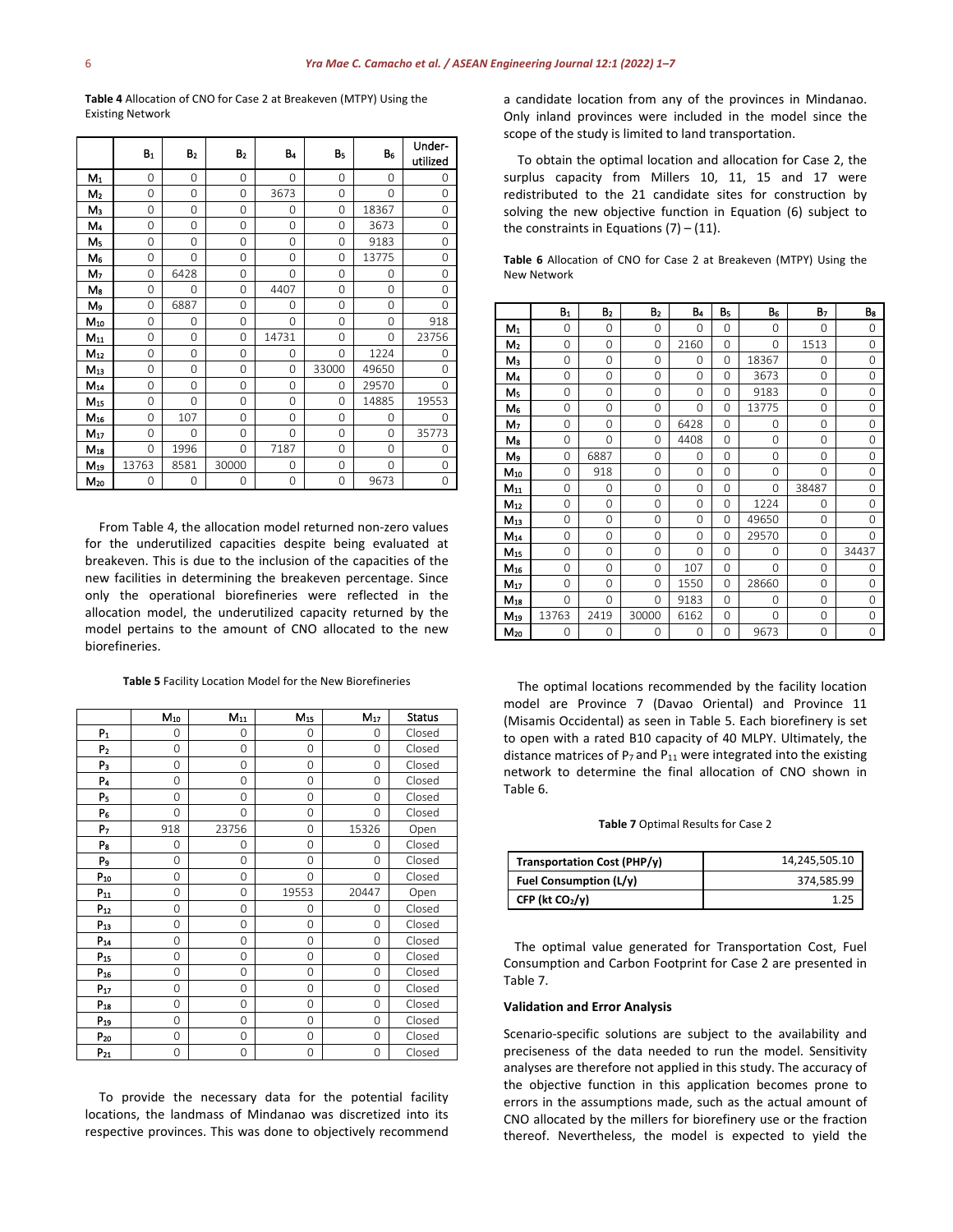| <b>Table 4</b> Allocation of CNO for Case 2 at Breakeven (MTPY) Using the |
|---------------------------------------------------------------------------|
| <b>Existing Network</b>                                                   |

|                | В1             | B <sub>2</sub> | B <sub>2</sub> | B4             | B5             | B6             | Under-<br>utilized |
|----------------|----------------|----------------|----------------|----------------|----------------|----------------|--------------------|
| Μ,             | $\Omega$       | $\Omega$       | $\Omega$       | $\Omega$       | $\mathbf 0$    | 0              | 0                  |
| M <sub>2</sub> | $\Omega$       | $\Omega$       | $\Omega$       | 3673           | $\overline{0}$ | $\overline{O}$ | $\overline{0}$     |
| M <sub>3</sub> | $\Omega$       | $\Omega$       | $\Omega$       | $\Omega$       | $\Omega$       | 18367          | $\Omega$           |
| M۵             | $\Omega$       | $\Omega$       | $\Omega$       | 0              | $\Omega$       | 3673           | 0                  |
| M5             | 0              | $\Omega$       | $\mathbf 0$    | $\Omega$       | $\mathbf 0$    | 9183           | $\mathbf 0$        |
| M6             | $\Omega$       | $\Omega$       | $\Omega$       | $\Omega$       | $\Omega$       | 13775          | $\mathbf 0$        |
| M7             | 0              | 6428           | $\mathbf 0$    | $\overline{0}$ | $\mathbf 0$    | 0              | $\mathbf 0$        |
| $M_8$          | $\Omega$       | $\Omega$       | $\Omega$       | 4407           | $\Omega$       | $\Omega$       | $\Omega$           |
| M9             | $\Omega$       | 6887           | $\Omega$       | $\Omega$       | $\mathbf 0$    | $\Omega$       | 0                  |
| $M_{10}$       | $\Omega$       | $\Omega$       | $\Omega$       | $\Omega$       | $\Omega$       | $\Omega$       | 918                |
| $M_{11}$       | $\Omega$       | $\Omega$       | $\Omega$       | 14731          | $\mathbf 0$    | $\Omega$       | 23756              |
| $M_{12}$       | 0              | $\Omega$       | $\mathbf 0$    | 0              | $\mathbf 0$    | 1224           | 0                  |
| $M_{13}$       | $\Omega$       | $\Omega$       | $\Omega$       | $\Omega$       | 33000          | 49650          | $\Omega$           |
| $M_{14}$       | $\Omega$       | $\Omega$       | $\Omega$       | $\Omega$       | $\Omega$       | 29570          | $\Omega$           |
| $M_{15}$       | 0              | $\Omega$       | 0              | 0              | $\Omega$       | 14885          | 19553              |
| $M_{16}$       | $\Omega$       | 107            | $\mathbf 0$    | 0              | $\mathbf 0$    | $\Omega$       | $\Omega$           |
| $M_{17}$       | $\overline{0}$ | $\overline{0}$ | $\mathbf 0$    | $\Omega$       | $\mathbf 0$    | 0              | 35773              |
| $M_{18}$       | $\Omega$       | 1996           | $\Omega$       | 7187           | $\mathbf 0$    | 0              | 0                  |
| $M_{19}$       | 13763          | 8581           | 30000          | $\Omega$       | $\mathbf 0$    | $\Omega$       | $\mathbf 0$        |
| $M_{20}$       | 0              | 0              | 0              | 0              | 0              | 9673           | 0                  |

From Table 4, the allocation model returned non-zero values for the underutilized capacities despite being evaluated at breakeven. This is due to the inclusion of the capacities of the new facilities in determining the breakeven percentage. Since only the operational biorefineries were reflected in the allocation model, the underutilized capacity returned by the model pertains to the amount of CNO allocated to the new biorefineries.

**Table 5** Facility Location Model for the New Biorefineries

|                   | $M_{10}$ | $M_{11}$       | $\mathsf{M}_{\mathsf{15}}$ | $M_{17}$ | <b>Status</b> |
|-------------------|----------|----------------|----------------------------|----------|---------------|
| P <sub>1</sub>    | $\Omega$ | $\Omega$       | $\Omega$                   | $\Omega$ | Closed        |
| P2                | $\Omega$ | 0              | 0                          | $\Omega$ | Closed        |
| $P_3$             | $\Omega$ | 0              | $\mathbf 0$                | $\Omega$ | Closed        |
| P <sub>4</sub>    | $\Omega$ | 0              | $\Omega$                   | $\Omega$ | Closed        |
| P5                | $\Omega$ | $\overline{0}$ | 0                          | $\Omega$ | Closed        |
| PG                | $\Omega$ | 0              | 0                          | $\Omega$ | Closed        |
| P7                | 918      | 23756          | 0                          | 15326    | Open          |
| Ps                | 0        | $\Omega$       | 0                          | $\Omega$ | Closed        |
| P9                | $\Omega$ | $\Omega$       | $\Omega$                   | $\Omega$ | Closed        |
| $P_{10}$          | $\Omega$ | 0              | $\Omega$                   | $\Omega$ | Closed        |
| $P_{11}$          | $\Omega$ | $\Omega$       | 19553                      | 20447    | Open          |
| $\mathsf{P}_{12}$ | $\Omega$ | 0              | 0                          | $\Omega$ | Closed        |
| P <sub>13</sub>   | $\Omega$ | 0              | 0                          | $\Omega$ | Closed        |
| $P_{14}$          | 0        | 0              | 0                          | 0        | Closed        |
| $P_{15}$          | $\Omega$ | $\Omega$       | $\Omega$                   | $\Omega$ | Closed        |
| $P_{16}$          | $\Omega$ | 0              | 0                          | $\Omega$ | Closed        |
| $P_{17}$          | 0        | 0              | $\mathbf 0$                | 0        | Closed        |
| $P_{18}$          | 0        | 0              | 0                          | 0        | Closed        |
| $P_{19}$          | 0        | 0              | 0                          | 0        | Closed        |
| $\mathsf{P}_{20}$ | $\Omega$ | 0              | $\overline{0}$             | $\Omega$ | Closed        |
| $P_{21}$          | 0        | 0              | $\mathbf 0$                | 0        | Closed        |

To provide the necessary data for the potential facility locations, the landmass of Mindanao was discretized into its respective provinces. This was done to objectively recommend a candidate location from any of the provinces in Mindanao. Only inland provinces were included in the model since the scope of the study is limited to land transportation.

To obtain the optimal location and allocation for Case 2, the surplus capacity from Millers 10, 11, 15 and 17 were redistributed to the 21 candidate sites for construction by solving the new objective function in Equation (6) subject to the constraints in Equations  $(7) - (11)$ .

**Table 6** Allocation of CNO for Case 2 at Breakeven (MTPY) Using the New Network

|                | $B_1$    | B2             | B <sub>2</sub> | B4       | Bs          | Bs             | В7          | B <sub>8</sub> |
|----------------|----------|----------------|----------------|----------|-------------|----------------|-------------|----------------|
| $M_1$          | 0        | 0              | 0              | $\Omega$ | $\Omega$    | 0              | $\Omega$    | 0              |
| M <sub>2</sub> | $\Omega$ | $\overline{O}$ | $\Omega$       | 2160     | $\Omega$    | $\Omega$       | 1513        | $\overline{0}$ |
| M <sub>3</sub> | $\Omega$ | 0              | $\Omega$       | 0        | $\mathbf 0$ | 18367          | $\Omega$    | $\overline{0}$ |
| M4             | $\Omega$ | $\Omega$       | $\Omega$       | $\Omega$ | $\Omega$    | 3673           | $\Omega$    | $\overline{0}$ |
| M5             | 0        | 0              | $\Omega$       | $\Omega$ | $\Omega$    | 9183           | $\Omega$    | $\mathbf 0$    |
| M6             | $\Omega$ | 0              | $\Omega$       | $\Omega$ | $\Omega$    | 13775          | $\Omega$    | $\overline{0}$ |
| M7             | 0        | 0              | $\Omega$       | 6428     | $\Omega$    | 0              | 0           | $\mathbf 0$    |
| Ms             | 0        | 0              | $\Omega$       | 4408     | $\Omega$    | $\overline{0}$ | $\Omega$    | $\overline{0}$ |
| M9             | $\Omega$ | 6887           | $\Omega$       | $\Omega$ | $\Omega$    | 0              | $\Omega$    | $\mathbf 0$    |
| $M_{10}$       | $\Omega$ | 918            | $\Omega$       | $\Omega$ | $\Omega$    | $\overline{0}$ | $\Omega$    | $\mathbf 0$    |
| $M_{11}$       | $\Omega$ | $\Omega$       | $\Omega$       | $\Omega$ | $\Omega$    | $\Omega$       | 38487       | $\overline{0}$ |
| $M_{12}$       | $\Omega$ | $\Omega$       | $\Omega$       | $\Omega$ | $\Omega$    | 1224           | $\Omega$    | $\overline{0}$ |
| $M_{13}$       | $\Omega$ | $\overline{0}$ | $\Omega$       | $\Omega$ | $\Omega$    | 49650          | $\Omega$    | $\overline{0}$ |
| $M_{14}$       | 0        | 0              | $\Omega$       | $\Omega$ | $\Omega$    | 29570          | $\Omega$    | $\mathbf 0$    |
| $M_{15}$       | 0        | 0              | $\Omega$       | 0        | $\Omega$    | 0              | $\Omega$    | 34437          |
| $M_{16}$       | 0        | 0              | 0              | 107      | $\mathbf 0$ | 0              | 0           | 0              |
| $M_{17}$       | $\Omega$ | 0              | $\Omega$       | 1550     | $\Omega$    | 28660          | $\Omega$    | $\mathbf 0$    |
| $M_{18}$       | 0        | $\overline{0}$ | $\Omega$       | 9183     | $\Omega$    | 0              | $\mathbf 0$ | $\mathbf 0$    |
| $M_{19}$       | 13763    | 2419           | 30000          | 6162     | $\Omega$    | $\overline{0}$ | $\Omega$    | $\mathbf 0$    |
| $M_{20}$       | 0        | 0              | 0              | 0        | $\Omega$    | 9673           | 0           | $\overline{0}$ |

The optimal locations recommended by the facility location model are Province 7 (Davao Oriental) and Province 11 (Misamis Occidental) as seen in Table 5. Each biorefinery is set to open with a rated B10 capacity of 40 MLPY. Ultimately, the distance matrices of  $P_7$  and  $P_{11}$  were integrated into the existing network to determine the final allocation of CNO shown in Table 6.

**Table 7** Optimal Results for Case 2

| Transportation Cost (PHP/y) | 14,245,505.10 |
|-----------------------------|---------------|
| Fuel Consumption (L/y)      | 374,585.99    |
| $CFP$ (kt $CO2/v$ )         |               |

The optimal value generated for Transportation Cost, Fuel Consumption and Carbon Footprint for Case 2 are presented in Table 7.

#### **Validation and Error Analysis**

Scenario-specific solutions are subject to the availability and preciseness of the data needed to run the model. Sensitivity analyses are therefore not applied in this study. The accuracy of the objective function in this application becomes prone to errors in the assumptions made, such as the actual amount of CNO allocated by the millers for biorefinery use or the fraction thereof. Nevertheless, the model is expected to yield the